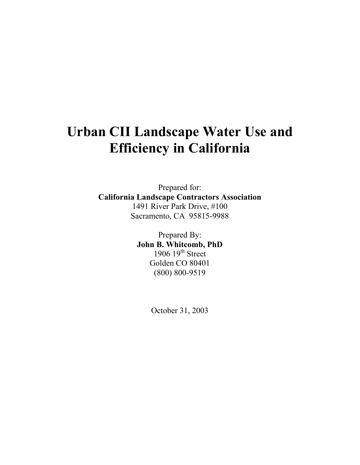# **Urban CII Landscape Water Use and Efficiency in California**

Prepared for: **California Landscape Contractors Association**  1491 River Park Drive, #100 Sacramento, CA 95815-9988

> Prepared By: **John B. Whitcomb, PhD**  1906  $19<sup>th</sup>$  Street Golden CO 80401 (800) 800-9519

> > October 31, 2003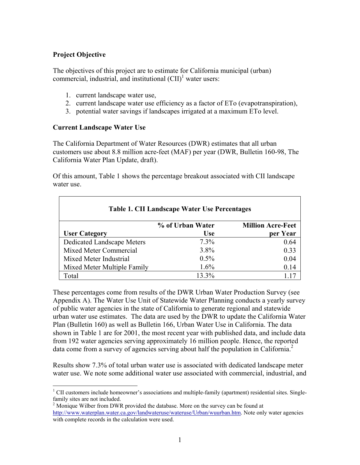# **Project Objective**

The objectives of this project are to estimate for California municipal (urban) commercial, industrial, and institutional  $\text{[CII]}^1$  water users:

- 1. current landscape water use,
- 2. current landscape water use efficiency as a factor of ETo (evapotranspiration),
- 3. potential water savings if landscapes irrigated at a maximum ETo level.

#### **Current Landscape Water Use**

The California Department of Water Resources (DWR) estimates that all urban customers use about 8.8 million acre-feet (MAF) per year (DWR, Bulletin 160-98, The California Water Plan Update, draft).

Of this amount, Table 1 shows the percentage breakout associated with CII landscape water use.

| Table 1. CII Landscape Water Use Percentages |                  |                          |  |  |  |
|----------------------------------------------|------------------|--------------------------|--|--|--|
|                                              | % of Urban Water | <b>Million Acre-Feet</b> |  |  |  |
| <b>User Category</b>                         | <b>Use</b>       | per Year                 |  |  |  |
| Dedicated Landscape Meters                   | $7.3\%$          | 0.64                     |  |  |  |
| <b>Mixed Meter Commercial</b>                | $3.8\%$          | 0.33                     |  |  |  |
| Mixed Meter Industrial                       | $0.5\%$          | 0.04                     |  |  |  |
| Mixed Meter Multiple Family                  | $1.6\%$          | 0.14                     |  |  |  |
| Total                                        | 13.3%            |                          |  |  |  |

These percentages come from results of the DWR Urban Water Production Survey (see Appendix A). The Water Use Unit of Statewide Water Planning conducts a yearly survey of public water agencies in the state of California to generate regional and statewide urban water use estimates. The data are used by the DWR to update the California Water Plan (Bulletin 160) as well as Bulletin 166, Urban Water Use in California. The data shown in Table 1 are for 2001, the most recent year with published data, and include data from 192 water agencies serving approximately 16 million people. Hence, the reported data come from a survey of agencies serving about half the population in California.<sup>2</sup>

Results show 7.3% of total urban water use is associated with dedicated landscape meter water use. We note some additional water use associated with commercial, industrial, and

<sup>&</sup>lt;sup>1</sup> CII customers include homeowner's associations and multiple-family (apartment) residential sites. Singlefamily sites are not included.

 $2^2$  Monique Wilber from DWR provided the database. More on the survey can be found at http://www.waterplan.water.ca.gov/landwateruse/wateruse/Urban/wuurban.htm. Note only water agencies with complete records in the calculation were used.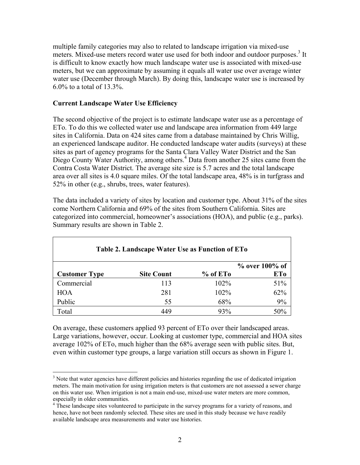multiple family categories may also to related to landscape irrigation via mixed-use meters. Mixed-use meters record water use used for both indoor and outdoor purposes.<sup>3</sup> It is difficult to know exactly how much landscape water use is associated with mixed-use meters, but we can approximate by assuming it equals all water use over average winter water use (December through March). By doing this, landscape water use is increased by 6.0% to a total of 13.3%.

## **Current Landscape Water Use Efficiency**

The second objective of the project is to estimate landscape water use as a percentage of ETo. To do this we collected water use and landscape area information from 449 large sites in California. Data on 424 sites came from a database maintained by Chris Willig, an experienced landscape auditor. He conducted landscape water audits (surveys) at these sites as part of agency programs for the Santa Clara Valley Water District and the San Diego County Water Authority, among others.<sup>4</sup> Data from another 25 sites came from the Contra Costa Water District. The average site size is 5.7 acres and the total landscape area over all sites is 4.0 square miles. Of the total landscape area, 48% is in turfgrass and 52% in other (e.g., shrubs, trees, water features).

The data included a variety of sites by location and customer type. About 31% of the sites come Northern California and 69% of the sites from Southern California. Sites are categorized into commercial, homeowner's associations (HOA), and public (e.g., parks). Summary results are shown in Table 2.

| Table 2. Landscape Water Use as Function of ETo |                   |                        |                   |  |  |
|-------------------------------------------------|-------------------|------------------------|-------------------|--|--|
|                                                 |                   |                        | $\%$ over 100% of |  |  |
| <b>Customer Type</b>                            | <b>Site Count</b> | $%$ of ET <sub>o</sub> | <b>ETo</b>        |  |  |
| Commercial                                      | 113               | $102\%$                | 51%               |  |  |
| <b>HOA</b>                                      | 281               | 102%                   | 62%               |  |  |
| Public                                          | 55                | 68%                    | 9%                |  |  |
| Total                                           | 449               | 93%                    | 50%               |  |  |

On average, these customers applied 93 percent of ETo over their landscaped areas. Large variations, however, occur. Looking at customer type, commercial and HOA sites average 102% of ETo, much higher than the 68% average seen with public sites. But, even within customer type groups, a large variation still occurs as shown in Figure 1.

 $\overline{a}$ <sup>3</sup> Note that water agencies have different policies and histories regarding the use of dedicated irrigation meters. The main motivation for using irrigation meters is that customers are not assessed a sewer charge on this water use. When irrigation is not a main end-use, mixed-use water meters are more common, especially in older communities.

<sup>&</sup>lt;sup>4</sup> These landscape sites volunteered to participate in the survey programs for a variety of reasons, and hence, have not been randomly selected. These sites are used in this study because we have readily available landscape area measurements and water use histories.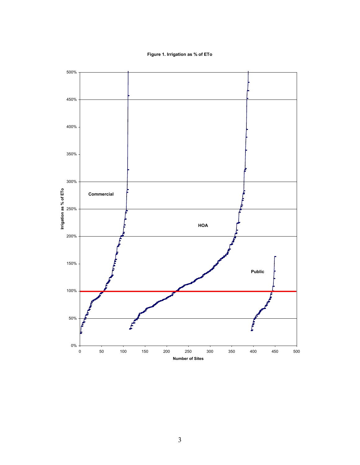**Figure 1. Irrigation as % of ETo**

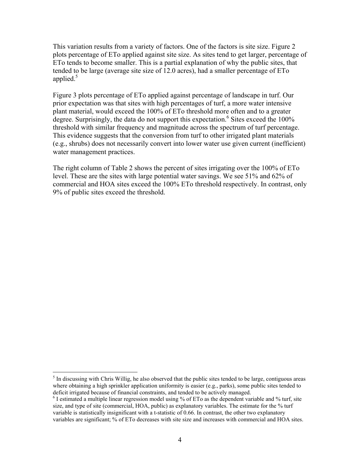This variation results from a variety of factors. One of the factors is site size. Figure 2 plots percentage of ETo applied against site size. As sites tend to get larger, percentage of ETo tends to become smaller. This is a partial explanation of why the public sites, that tended to be large (average site size of 12.0 acres), had a smaller percentage of ETo applied. $5$ 

Figure 3 plots percentage of ETo applied against percentage of landscape in turf. Our prior expectation was that sites with high percentages of turf, a more water intensive plant material, would exceed the 100% of ETo threshold more often and to a greater degree. Surprisingly, the data do not support this expectation.<sup>6</sup> Sites exceed the  $100\%$ threshold with similar frequency and magnitude across the spectrum of turf percentage. This evidence suggests that the conversion from turf to other irrigated plant materials (e.g., shrubs) does not necessarily convert into lower water use given current (inefficient) water management practices.

The right column of Table 2 shows the percent of sites irrigating over the 100% of ETo level. These are the sites with large potential water savings. We see 51% and 62% of commercial and HOA sites exceed the 100% ETo threshold respectively. In contrast, only 9% of public sites exceed the threshold.

 $\overline{a}$ 

 $<sup>5</sup>$  In discussing with Chris Willig, he also observed that the public sites tended to be large, contiguous areas</sup> where obtaining a high sprinkler application uniformity is easier (e.g., parks), some public sites tended to deficit irrigated because of financial constraints, and tended to be actively managed. 6

 $6$  I estimated a multiple linear regression model using % of ETo as the dependent variable and % turf, site size, and type of site (commercial, HOA, public) as explanatory variables. The estimate for the % turf variable is statistically insignificant with a t-statistic of 0.66. In contrast, the other two explanatory variables are significant; % of ETo decreases with site size and increases with commercial and HOA sites.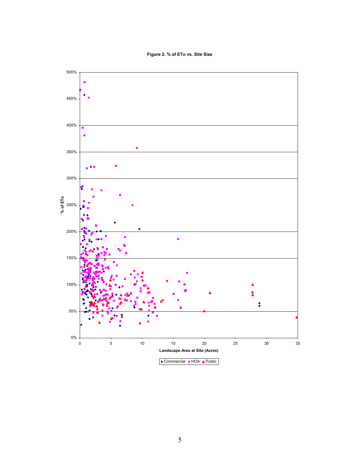**Figure 2. % of ETo vs. Site Size**

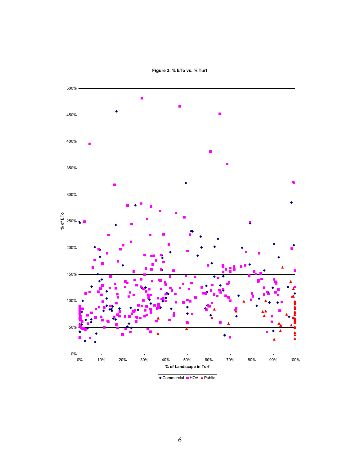

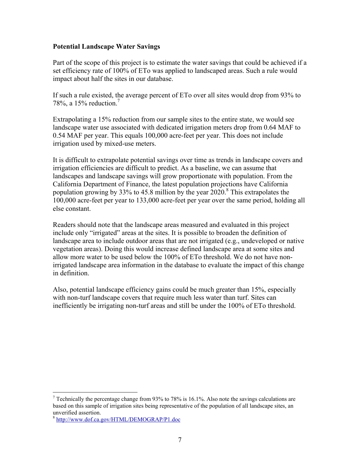### **Potential Landscape Water Savings**

Part of the scope of this project is to estimate the water savings that could be achieved if a set efficiency rate of 100% of ETo was applied to landscaped areas. Such a rule would impact about half the sites in our database.

If such a rule existed, the average percent of ETo over all sites would drop from 93% to 78%, a  $15%$  reduction.<sup>7</sup>

Extrapolating a 15% reduction from our sample sites to the entire state, we would see landscape water use associated with dedicated irrigation meters drop from 0.64 MAF to 0.54 MAF per year. This equals 100,000 acre-feet per year. This does not include irrigation used by mixed-use meters.

It is difficult to extrapolate potential savings over time as trends in landscape covers and irrigation efficiencies are difficult to predict. As a baseline, we can assume that landscapes and landscape savings will grow proportionate with population. From the California Department of Finance, the latest population projections have California population growing by 33% to 45.8 million by the year  $2020$ .<sup>8</sup> This extrapolates the 100,000 acre-feet per year to 133,000 acre-feet per year over the same period, holding all else constant.

Readers should note that the landscape areas measured and evaluated in this project include only "irrigated" areas at the sites. It is possible to broaden the definition of landscape area to include outdoor areas that are not irrigated (e.g., undeveloped or native vegetation areas). Doing this would increase defined landscape area at some sites and allow more water to be used below the 100% of ETo threshold. We do not have nonirrigated landscape area information in the database to evaluate the impact of this change in definition.

Also, potential landscape efficiency gains could be much greater than 15%, especially with non-turf landscape covers that require much less water than turf. Sites can inefficiently be irrigating non-turf areas and still be under the 100% of ETo threshold.

 $\overline{a}$ 

<sup>&</sup>lt;sup>7</sup> Technically the percentage change from 93% to 78% is 16.1%. Also note the savings calculations are based on this sample of irrigation sites being representative of the population of all landscape sites, an unverified assertion.

<sup>8</sup> http://www.dof.ca.gov/HTML/DEMOGRAP/P1.doc